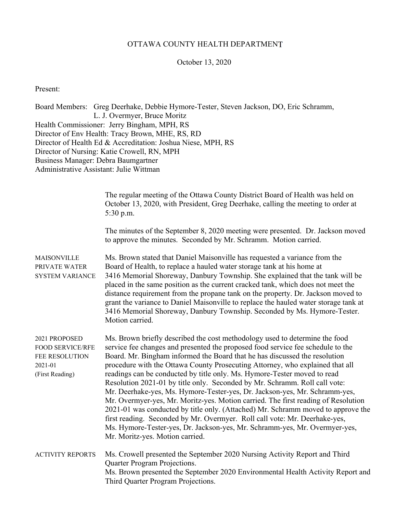#### OTTAWA COUNTY HEALTH DEPARTMENT

#### October 13, 2020

Present:

Board Members: Greg Deerhake, Debbie Hymore-Tester, Steven Jackson, DO, Eric Schramm, L. J. Overmyer, Bruce Moritz Health Commissioner: Jerry Bingham, MPH, RS Director of Env Health: Tracy Brown, MHE, RS, RD Director of Health Ed & Accreditation: Joshua Niese, MPH, RS Director of Nursing: Katie Crowell, RN, MPH Business Manager: Debra Baumgartner Administrative Assistant: Julie Wittman

> The regular meeting of the Ottawa County District Board of Health was held on October 13, 2020, with President, Greg Deerhake, calling the meeting to order at 5:30 p.m.

The minutes of the September 8, 2020 meeting were presented. Dr. Jackson moved to approve the minutes. Seconded by Mr. Schramm. Motion carried.

MAISONVILLE Ms. Brown stated that Daniel Maisonville has requested a variance from the PRIVATE WATER Board of Health, to replace a hauled water storage tank at his home at SYSTEM VARIANCE 3416 Memorial Shoreway, Danbury Township. She explained that the tank will be placed in the same position as the current cracked tank, which does not meet the distance requirement from the propane tank on the property. Dr. Jackson moved to grant the variance to Daniel Maisonville to replace the hauled water storage tank at 3416 Memorial Shoreway, Danbury Township. Seconded by Ms. Hymore-Tester. Motion carried.

2021 PROPOSED Ms. Brown briefly described the cost methodology used to determine the food FOOD SERVICE/RFE service fee changes and presented the proposed food service fee schedule to the FEE RESOLUTION Board. Mr. Bingham informed the Board that he has discussed the resolution 2021-01 procedure with the Ottawa County Prosecuting Attorney, who explained that all (First Reading) readings can be conducted by title only. Ms. Hymore-Tester moved to read Resolution 2021-01 by title only. Seconded by Mr. Schramm. Roll call vote: Mr. Deerhake-yes, Ms. Hymore-Tester-yes, Dr. Jackson-yes, Mr. Schramm-yes, Mr. Overmyer-yes, Mr. Moritz-yes. Motion carried. The first reading of Resolution 2021-01 was conducted by title only. (Attached) Mr. Schramm moved to approve the first reading. Seconded by Mr. Overmyer. Roll call vote: Mr. Deerhake-yes, Ms. Hymore-Tester-yes, Dr. Jackson-yes, Mr. Schramm-yes, Mr. Overmyer-yes, Mr. Moritz-yes. Motion carried.

ACTIVITY REPORTS Ms. Crowell presented the September 2020 Nursing Activity Report and Third Quarter Program Projections. Ms. Brown presented the September 2020 Environmental Health Activity Report and Third Quarter Program Projections.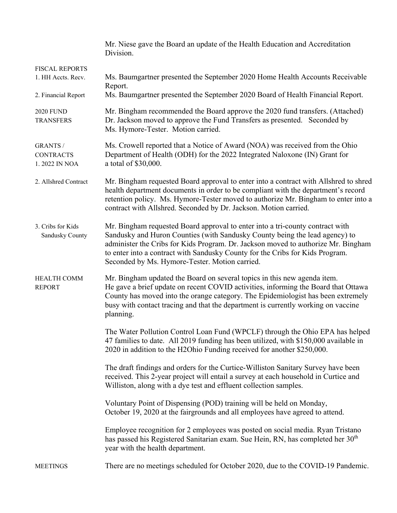|                                                                    | Mr. Niese gave the Board an update of the Health Education and Accreditation<br>Division.                                                                                                                                                                                                                                                                                            |
|--------------------------------------------------------------------|--------------------------------------------------------------------------------------------------------------------------------------------------------------------------------------------------------------------------------------------------------------------------------------------------------------------------------------------------------------------------------------|
| <b>FISCAL REPORTS</b><br>1. HH Accts. Recv.<br>2. Financial Report | Ms. Baumgartner presented the September 2020 Home Health Accounts Receivable<br>Report.<br>Ms. Baumgartner presented the September 2020 Board of Health Financial Report.                                                                                                                                                                                                            |
| <b>2020 FUND</b><br><b>TRANSFERS</b>                               | Mr. Bingham recommended the Board approve the 2020 fund transfers. (Attached)<br>Dr. Jackson moved to approve the Fund Transfers as presented. Seconded by<br>Ms. Hymore-Tester. Motion carried.                                                                                                                                                                                     |
| <b>GRANTS /</b><br><b>CONTRACTS</b><br>1.2022 IN NOA               | Ms. Crowell reported that a Notice of Award (NOA) was received from the Ohio<br>Department of Health (ODH) for the 2022 Integrated Naloxone (IN) Grant for<br>a total of \$30,000.                                                                                                                                                                                                   |
| 2. Allshred Contract                                               | Mr. Bingham requested Board approval to enter into a contract with Allshred to shred<br>health department documents in order to be compliant with the department's record<br>retention policy. Ms. Hymore-Tester moved to authorize Mr. Bingham to enter into a<br>contract with Allshred. Seconded by Dr. Jackson. Motion carried.                                                  |
| 3. Cribs for Kids<br>Sandusky County                               | Mr. Bingham requested Board approval to enter into a tri-county contract with<br>Sandusky and Huron Counties (with Sandusky County being the lead agency) to<br>administer the Cribs for Kids Program. Dr. Jackson moved to authorize Mr. Bingham<br>to enter into a contract with Sandusky County for the Cribs for Kids Program.<br>Seconded by Ms. Hymore-Tester. Motion carried. |
| <b>HEALTH COMM</b><br><b>REPORT</b>                                | Mr. Bingham updated the Board on several topics in this new agenda item.<br>He gave a brief update on recent COVID activities, informing the Board that Ottawa<br>County has moved into the orange category. The Epidemiologist has been extremely<br>busy with contact tracing and that the department is currently working on vaccine<br>planning.                                 |
|                                                                    | The Water Pollution Control Loan Fund (WPCLF) through the Ohio EPA has helped<br>47 families to date. All 2019 funding has been utilized, with \$150,000 available in<br>2020 in addition to the H2Ohio Funding received for another \$250,000.                                                                                                                                      |
|                                                                    | The draft findings and orders for the Curtice-Williston Sanitary Survey have been<br>received. This 2-year project will entail a survey at each household in Curtice and<br>Williston, along with a dye test and effluent collection samples.                                                                                                                                        |
|                                                                    | Voluntary Point of Dispensing (POD) training will be held on Monday,<br>October 19, 2020 at the fairgrounds and all employees have agreed to attend.                                                                                                                                                                                                                                 |
|                                                                    | Employee recognition for 2 employees was posted on social media. Ryan Tristano<br>has passed his Registered Sanitarian exam. Sue Hein, RN, has completed her 30 <sup>th</sup><br>year with the health department.                                                                                                                                                                    |
| <b>MEETINGS</b>                                                    | There are no meetings scheduled for October 2020, due to the COVID-19 Pandemic.                                                                                                                                                                                                                                                                                                      |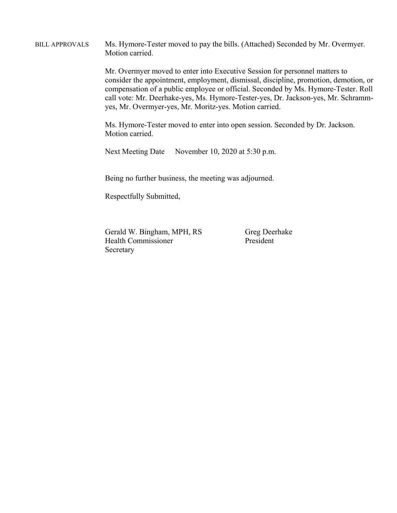BILL APPROVALS Ms. Hymore-Tester moved to pay the bills. (Attached) Seconded by Mr. Overmyer. Motion carried.

> Mr. Overmyer moved to enter into Executive Session for personnel matters to consider the appointment, employment, dismissal, discipline, promotion, demotion, or compensation of a public employee or official. Seconded by Ms. Hymore-Tester. Roll call vote: Mr. Deerhake-yes, Ms. Hymore-Tester-yes, Dr. Jackson-yes, Mr. Schrammyes, Mr. Overmyer-yes, Mr. Moritz-yes. Motion carried.

Ms. Hymore-Tester moved to enter into open session. Seconded by Dr. Jackson. Motion carried.

Next Meeting Date November 10, 2020 at 5:30 p.m.

Being no further business, the meeting was adjourned.

Respectfully Submitted,

Gerald W. Bingham, MPH, RS Greg Deerhake Health Commissioner President Secretary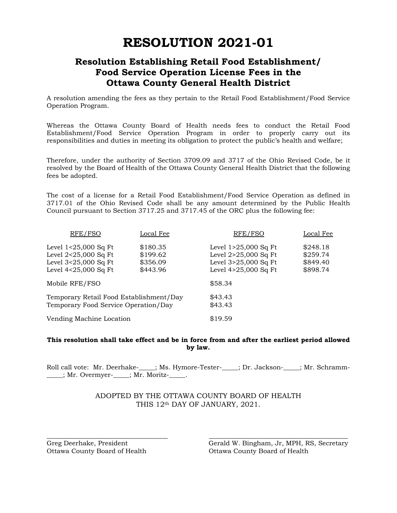# **RESOLUTION 2021-01**

### **Resolution Establishing Retail Food Establishment/ Food Service Operation License Fees in the Ottawa County General Health District**

A resolution amending the fees as they pertain to the Retail Food Establishment/Food Service Operation Program.

Whereas the Ottawa County Board of Health needs fees to conduct the Retail Food Establishment/Food Service Operation Program in order to properly carry out its responsibilities and duties in meeting its obligation to protect the public's health and welfare;

Therefore, under the authority of Section 3709.09 and 3717 of the Ohio Revised Code, be it resolved by the Board of Health of the Ottawa County General Health District that the following fees be adopted.

The cost of a license for a Retail Food Establishment/Food Service Operation as defined in 3717.01 of the Ohio Revised Code shall be any amount determined by the Public Health Council pursuant to Section 3717.25 and 3717.45 of the ORC plus the following fee:

| RFE/FSO                                                                                          | Local Fee                                    | RFE/FSO                                                                                      | Local Fee                                    |
|--------------------------------------------------------------------------------------------------|----------------------------------------------|----------------------------------------------------------------------------------------------|----------------------------------------------|
| Level $1<25,000$ Sq Ft<br>Level $2<25,000$ Sq Ft<br>Level 3<25,000 Sq Ft<br>Level 4<25,000 Sq Ft | \$180.35<br>\$199.62<br>\$356.09<br>\$443.96 | Level 1>25,000 Sq Ft<br>Level 2>25,000 Sq Ft<br>Level 3>25,000 Sq Ft<br>Level 4>25,000 Sq Ft | \$248.18<br>\$259.74<br>\$849.40<br>\$898.74 |
| Mobile RFE/FSO                                                                                   |                                              | \$58.34                                                                                      |                                              |
| Temporary Retail Food Establishment/Day<br>Temporary Food Service Operation/Day                  |                                              | \$43.43<br>\$43.43                                                                           |                                              |
| Vending Machine Location                                                                         |                                              | \$19.59                                                                                      |                                              |

#### **This resolution shall take effect and be in force from and after the earliest period allowed by law.**

Roll call vote: Mr. Deerhake-\_\_\_\_; Ms. Hymore-Tester-\_\_\_\_; Dr. Jackson-\_\_\_\_; Mr. Schramm-\_\_\_\_\_; Mr. Overmyer-\_\_\_\_\_; Mr. Moritz-\_\_\_\_\_.

#### ADOPTED BY THE OTTAWA COUNTY BOARD OF HEALTH THIS 12th DAY OF JANUARY, 2021.

\_\_\_\_\_\_\_\_\_\_\_\_\_\_\_\_\_\_\_\_\_\_\_\_\_\_\_\_\_\_\_\_\_\_ \_\_\_\_\_\_\_\_\_\_\_\_\_\_\_\_\_\_\_\_\_\_\_\_\_\_\_\_\_\_\_\_\_\_\_\_\_\_\_

Ottawa County Board of Health Ottawa County Board of Health

Greg Deerhake, President Gerald W. Bingham, Jr, MPH, RS, Secretary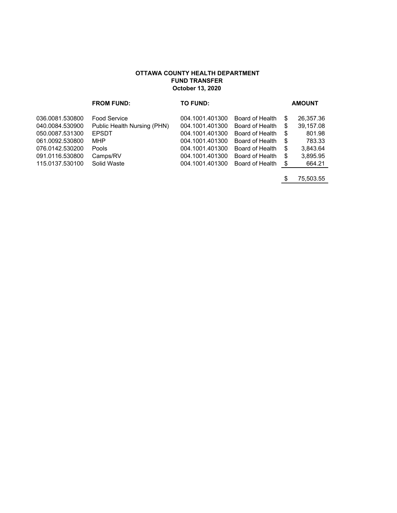#### **OTTAWA COUNTY HEALTH DEPARTMENT FUND TRANSFER October 13, 2020**

|                 | <b>FROM FUND:</b>           | TO FUND:        |                 |     | <b>AMOUNT</b> |
|-----------------|-----------------------------|-----------------|-----------------|-----|---------------|
| 036.0081.530800 | <b>Food Service</b>         | 004.1001.401300 | Board of Health | S   | 26,357.36     |
| 040.0084.530900 | Public Health Nursing (PHN) | 004.1001.401300 | Board of Health | \$  | 39,157.08     |
| 050.0087.531300 | <b>EPSDT</b>                | 004.1001.401300 | Board of Health | \$  | 801.98        |
| 061.0092.530800 | MHP                         | 004.1001.401300 | Board of Health | \$  | 783.33        |
| 076.0142.530200 | Pools                       | 004.1001.401300 | Board of Health | \$  | 3,843.64      |
| 091.0116.530800 | Camps/RV                    | 004.1001.401300 | Board of Health | \$  | 3,895.95      |
| 115.0137.530100 | Solid Waste                 | 004.1001.401300 | Board of Health | -\$ | 664.21        |
|                 |                             |                 |                 |     |               |

\$ 75,503.55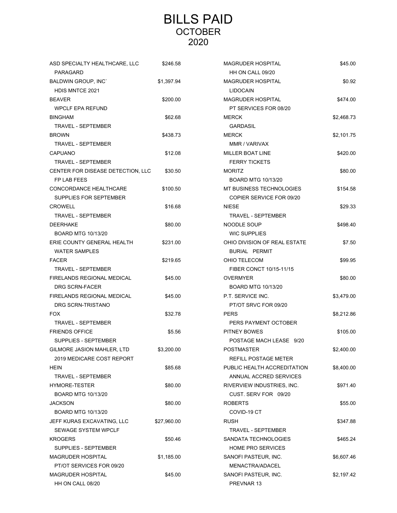## BILLS PAID **OCTOBER** 2020

| ASD SPECIALTY HEALTHCARE, LLC     | \$246.58    | MAGRUDER HOSPITAL            | \$45.00    |
|-----------------------------------|-------------|------------------------------|------------|
| PARAGARD                          |             | HH ON CALL 09/20             |            |
| <b>BALDWIN GROUP, INC'</b>        | \$1,397.94  | <b>MAGRUDER HOSPITAL</b>     | \$0.92     |
| <b>HDIS MNTCE 2021</b>            |             | <b>LIDOCAIN</b>              |            |
| <b>BEAVER</b>                     | \$200.00    | <b>MAGRUDER HOSPITAL</b>     | \$474.00   |
| <b>WPCLF EPA REFUND</b>           |             | PT SERVICES FOR 08/20        |            |
| <b>BINGHAM</b>                    | \$62.68     | <b>MERCK</b>                 | \$2,468.73 |
| TRAVEL - SEPTEMBER                |             | <b>GARDASIL</b>              |            |
| <b>BROWN</b>                      | \$438.73    | <b>MERCK</b>                 | \$2,101.75 |
| <b>TRAVEL - SEPTEMBER</b>         |             | MMR / VARIVAX                |            |
| <b>CAPUANO</b>                    | \$12.08     | <b>MILLER BOAT LINE</b>      | \$420.00   |
| <b>TRAVEL - SEPTEMBER</b>         |             | <b>FERRY TICKETS</b>         |            |
| CENTER FOR DISEASE DETECTION, LLC | \$30.50     | <b>MORITZ</b>                | \$80.00    |
| FP LAB FEES                       |             | <b>BOARD MTG 10/13/20</b>    |            |
| CONCORDANCE HEALTHCARE            | \$100.50    | MT BUSINESS TECHNOLOGIES     | \$154.58   |
| SUPPLIES FOR SEPTEMBER            |             | COPIER SERVICE FOR 09/20     |            |
| <b>CROWELL</b>                    | \$16.68     | <b>NIESE</b>                 | \$29.33    |
| <b>TRAVEL - SEPTEMBER</b>         |             | TRAVEL - SEPTEMBER           |            |
| <b>DEERHAKE</b>                   | \$80.00     | NOODLE SOUP                  | \$498.40   |
| <b>BOARD MTG 10/13/20</b>         |             | <b>WIC SUPPLIES</b>          |            |
| ERIE COUNTY GENERAL HEALTH        | \$231.00    | OHIO DIVISION OF REAL ESTATE | \$7.50     |
| <b>WATER SAMPLES</b>              |             | <b>BURIAL PERMIT</b>         |            |
| <b>FACER</b>                      | \$219.65    | OHIO TELECOM                 | \$99.95    |
| <b>TRAVEL - SEPTEMBER</b>         |             | FIBER CONCT 10/15-11/15      |            |
| FIRELANDS REGIONAL MEDICAL        | \$45.00     | <b>OVERMYER</b>              | \$80.00    |
| <b>DRG SCRN-FACER</b>             |             | <b>BOARD MTG 10/13/20</b>    |            |
| FIRELANDS REGIONAL MEDICAL        | \$45.00     | P.T. SERVICE INC.            | \$3,479.00 |
| DRG SCRN-TRISTANO                 |             | PT/OT SRVC FOR 09/20         |            |
| <b>FOX</b>                        | \$32.78     | <b>PERS</b>                  | \$8,212.86 |
| <b>TRAVEL - SEPTEMBER</b>         |             | PERS PAYMENT OCTOBER         |            |
| <b>FRIENDS OFFICE</b>             | \$5.56      | <b>PITNEY BOWES</b>          | \$105.00   |
| <b>SUPPLIES - SEPTEMBER</b>       |             | POSTAGE MACH LEASE 9/20      |            |
| GILMORE JASION MAHLER, LTD        | \$3,200.00  | POSTMASTER                   | \$2,400.00 |
| 2019 MEDICARE COST REPORT         |             | REFILL POSTAGE METER         |            |
| <b>HEIN</b>                       | \$85.68     | PUBLIC HEALTH ACCREDITATION  | \$8,400.00 |
| <b>TRAVEL - SEPTEMBER</b>         |             | ANNUAL ACCRED SERVICES       |            |
| <b>HYMORE-TESTER</b>              | \$80.00     | RIVERVIEW INDUSTRIES, INC.   | \$971.40   |
| BOARD MTG 10/13/20                |             | CUST. SERV FOR 09/20         |            |
| <b>JACKSON</b>                    | \$80.00     | <b>ROBERTS</b>               | \$55.00    |
| <b>BOARD MTG 10/13/20</b>         |             | COVID-19 CT                  |            |
| JEFF KURAS EXCAVATING, LLC        | \$27,960.00 | <b>RUSH</b>                  | \$347.88   |
| <b>SEWAGE SYSTEM WPCLF</b>        |             | TRAVEL - SEPTEMBER           |            |
| <b>KROGERS</b>                    | \$50.46     | SANDATA TECHNOLOGIES         | \$465.24   |
| SUPPLIES - SEPTEMBER              |             | <b>HOME PRO SERVICES</b>     |            |
| <b>MAGRUDER HOSPITAL</b>          | \$1,185.00  | SANOFI PASTEUR, INC.         | \$6,607.46 |
| PT/OT SERVICES FOR 09/20          |             | MENACTRA/ADACEL              |            |
| <b>MAGRUDER HOSPITAL</b>          | \$45.00     | SANOFI PASTEUR, INC.         | \$2,197.42 |
| HH ON CALL 08/20                  |             | PREVNAR 13                   |            |